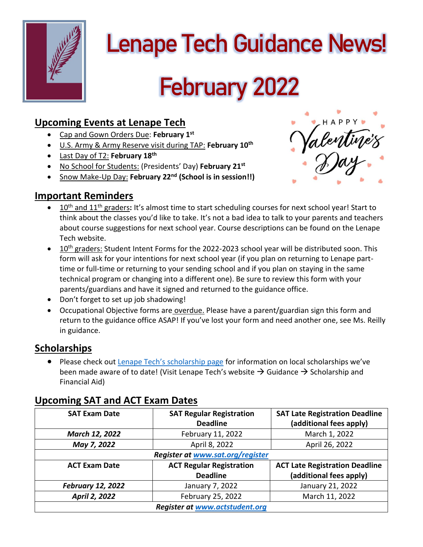

# **Lenape Tech Guidance News!**

# **February 2022**

### **Upcoming Events at Lenape Tech**

- Cap and Gown Orders Due: **February 1st**
- U.S. Army & Army Reserve visit during TAP: **February 10th**
- Last Day of T2: **February 18th**
- No School for Students: (Presidents' Day) **February 21st**
- Snow Make-Up Day: **February 22nd (School is in session!!)**



#### **Important Reminders**

- 10th and 11th graders**:** It's almost time to start scheduling courses for next school year! Start to think about the classes you'd like to take. It's not a bad idea to talk to your parents and teachers about course suggestions for next school year. Course descriptions can be found on the Lenape Tech website.
- 10<sup>th</sup> graders: Student Intent Forms for the 2022-2023 school year will be distributed soon. This form will ask for your intentions for next school year (if you plan on returning to Lenape parttime or full-time or returning to your sending school and if you plan on staying in the same technical program or changing into a different one). Be sure to review this form with your parents/guardians and have it signed and returned to the guidance office.
- Don't forget to set up job shadowing!
- Occupational Objective forms are overdue. Please have a parent/guardian sign this form and return to the guidance office ASAP! If you've lost your form and need another one, see Ms. Reilly in guidance.

#### **Scholarships**

• Please check out [Lenape Tech's scholarship page](http://www.lenape.k12.pa.us/4/Content2/guidscholar) for information on local scholarships we've been made aware of to date! (Visit Lenape Tech's website  $\rightarrow$  Guidance  $\rightarrow$  Scholarship and Financial Aid)

| <b>SAT Exam Date</b>                  | <b>SAT Regular Registration</b><br><b>Deadline</b> | <b>SAT Late Registration Deadline</b><br>(additional fees apply) |
|---------------------------------------|----------------------------------------------------|------------------------------------------------------------------|
| March 12, 2022                        | February 11, 2022                                  | March 1, 2022                                                    |
| May 7, 2022                           | April 8, 2022                                      | April 26, 2022                                                   |
| Register at www.sat.org/register      |                                                    |                                                                  |
| <b>ACT Exam Date</b>                  | <b>ACT Regular Registration</b>                    | <b>ACT Late Registration Deadline</b>                            |
|                                       | <b>Deadline</b>                                    | (additional fees apply)                                          |
| <b>February 12, 2022</b>              | January 7, 2022                                    | January 21, 2022                                                 |
| April 2, 2022                         | February 25, 2022                                  | March 11, 2022                                                   |
| <b>Register at www.actstudent.org</b> |                                                    |                                                                  |

#### **Upcoming SAT and ACT Exam Dates**